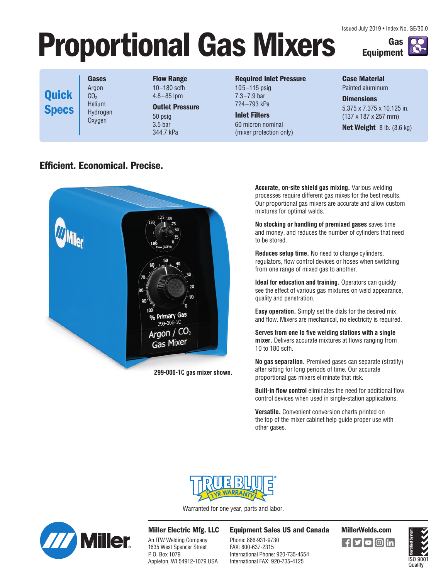Issued July 2019 • Index No. GE/30.0

**Equipment**

**Gas** 

## **Proportional Gas Mixers**

**Gases** Argon CO<sub>2</sub> Helium Hydrogen Oxygen **Quick Specs**

**Efficient. Economical. Precise.**

**Flow Range** 10–180 scfh 4.8–85 lpm **Outlet Pressure**

50 psig 3.5 bar 344.7 kPa

#### **Required Inlet Pressure**

105–115 psig 7.3–7.9 bar 724–793 kPa

**Inlet Filters** 60 micron nominal (mixer protection only) **Case Material**  Painted aluminum

**Dimensions** 5.375 x 7.375 x 10.125 in. (137 x 187 x 257 mm)

**Net Weight** 8 lb. (3.6 kg)

# **Primary Gas** Argon / Gas Mixer **299-006-1C gas mixer shown.**

**Accurate, on-site shield gas mixing.** Various welding processes require different gas mixes for the best results. Our proportional gas mixers are accurate and allow custom mixtures for optimal welds.

**No stocking or handling of premixed gases** saves time and money, and reduces the number of cylinders that need to be stored.

**Reduces setup time.** No need to change cylinders, regulators, flow control devices or hoses when switching from one range of mixed gas to another.

**Ideal for education and training.** Operators can quickly see the effect of various gas mixtures on weld appearance, quality and penetration.

**Easy operation.** Simply set the dials for the desired mix and flow. Mixers are mechanical, no electricity is required.

**Serves from one to five welding stations with a single mixer.** Delivers accurate mixtures at flows ranging from 10 to 180 scfh.

**No gas separation.** Premixed gases can separate (stratify) after sitting for long periods of time. Our accurate proportional gas mixers eliminate that risk.

**Built-in flow control** eliminates the need for additional flow control devices when used in single-station applications.

**Versatile.** Convenient conversion charts printed on the top of the mixer cabinet help guide proper use with other gases.



Warranted for one year, parts and labor.



**Miller Electric Mfg. LLC**

An ITW Welding Company 1635 West Spencer Street P.O. Box 1079 Appleton, WI 54912-1079 USA **Equipment Sales US and Canada MillerWelds.com**

Phone: 866-931-9730 FAX: 800-637-2315 International Phone: 920-735-4554 International FAX: 920-735-4125